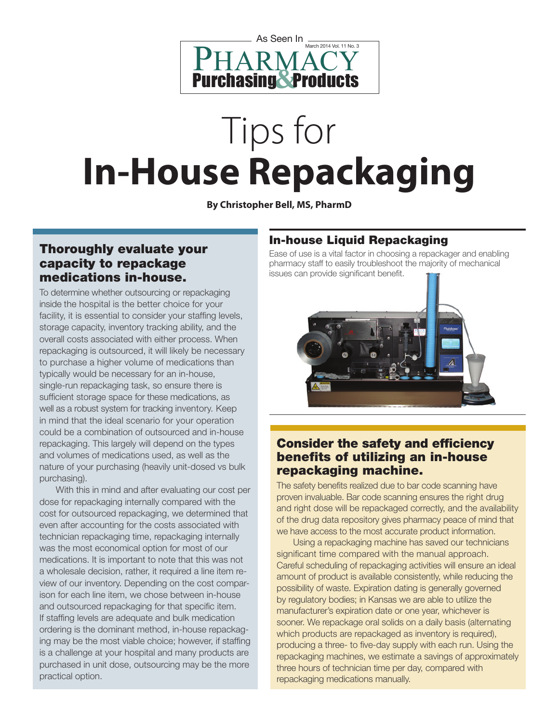

# Tips for **In-House Repackaging**

**By Christopher Bell, MS, PharmD**

### Thoroughly evaluate your capacity to repackage medications in-house.

To determine whether outsourcing or repackaging inside the hospital is the better choice for your facility, it is essential to consider your staffing levels, storage capacity, inventory tracking ability, and the overall costs associated with either process. When repackaging is outsourced, it will likely be necessary to purchase a higher volume of medications than typically would be necessary for an in-house, single-run repackaging task, so ensure there is sufficient storage space for these medications, as well as a robust system for tracking inventory. Keep in mind that the ideal scenario for your operation could be a combination of outsourced and in-house repackaging. This largely will depend on the types and volumes of medications used, as well as the nature of your purchasing (heavily unit-dosed vs bulk purchasing).

With this in mind and after evaluating our cost per dose for repackaging internally compared with the cost for outsourced repackaging, we determined that even after accounting for the costs associated with technician repackaging time, repackaging internally was the most economical option for most of our medications. It is important to note that this was not a wholesale decision, rather, it required a line item review of our inventory. Depending on the cost comparison for each line item, we chose between in-house and outsourced repackaging for that specific item. If staffing levels are adequate and bulk medication ordering is the dominant method, in-house repackaging may be the most viable choice; however, if staffing is a challenge at your hospital and many products are purchased in unit dose, outsourcing may be the more practical option.

## In-house Liquid Repackaging

Ease of use is a vital factor in choosing a repackager and enabling pharmacy staff to easily troubleshoot the majority of mechanical issues can provide significant benefit.



## Consider the safety and efficiency benefits of utilizing an in-house repackaging machine.

The safety benefits realized due to bar code scanning have proven invaluable. Bar code scanning ensures the right drug and right dose will be repackaged correctly, and the availability of the drug data repository gives pharmacy peace of mind that we have access to the most accurate product information.

Using a repackaging machine has saved our technicians significant time compared with the manual approach. Careful scheduling of repackaging activities will ensure an ideal amount of product is available consistently, while reducing the possibility of waste. Expiration dating is generally governed by regulatory bodies; in Kansas we are able to utilize the manufacturer's expiration date or one year, whichever is sooner. We repackage oral solids on a daily basis (alternating which products are repackaged as inventory is required), producing a three- to five-day supply with each run. Using the repackaging machines, we estimate a savings of approximately three hours of technician time per day, compared with repackaging medications manually.